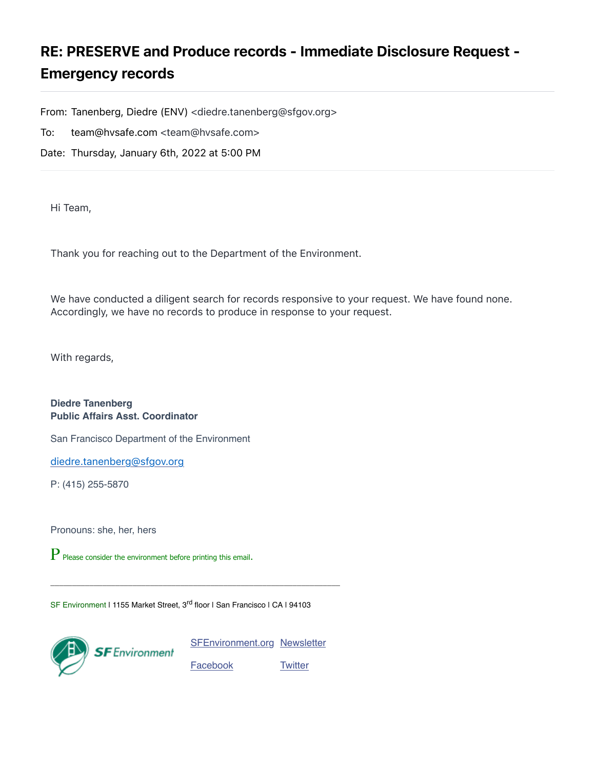## RE: PRESERVE and Produce records - Immediate Disclosure Request - Emergency records

From: Tanenberg, Diedre (ENV) <diedre.tanenberg@sfgov.org>

To: team@hvsafe.com <team@hvsafe.com>

Date: Thursday, January 6th, 2022 at 5:00 PM

Hi Team,

Thank you for reaching out to the Department of the Environment.

We have conducted a diligent search for records responsive to your request. We have found none. Accordingly, we have no records to produce in response to your request.

With regards,

**Diedre Tanenberg Public Affairs Asst. Coordinator**

San Francisco Department of the Environment

[diedre.tanenberg@sfgov.org](mailto:diedre.tanenberg@sfgov.org)

P: (415) 255-5870

Pronouns: she, her, hers

P Please consider the environment before printing this email.

SF Environment I 1155 Market Street, 3<sup>rd</sup> floor I San Francisco I CA I 94103

 $\_$  , and the set of the set of the set of the set of the set of the set of the set of the set of the set of the set of the set of the set of the set of the set of the set of the set of the set of the set of the set of th



[SFEnvironment.org](http://sfenvironment.org/) [Newsletter](http://sfenvironment.org/) [Facebook](http://www.facebook.com/SFEnvironment)

**[Twitter](http://twitter.com/sfenvironment)**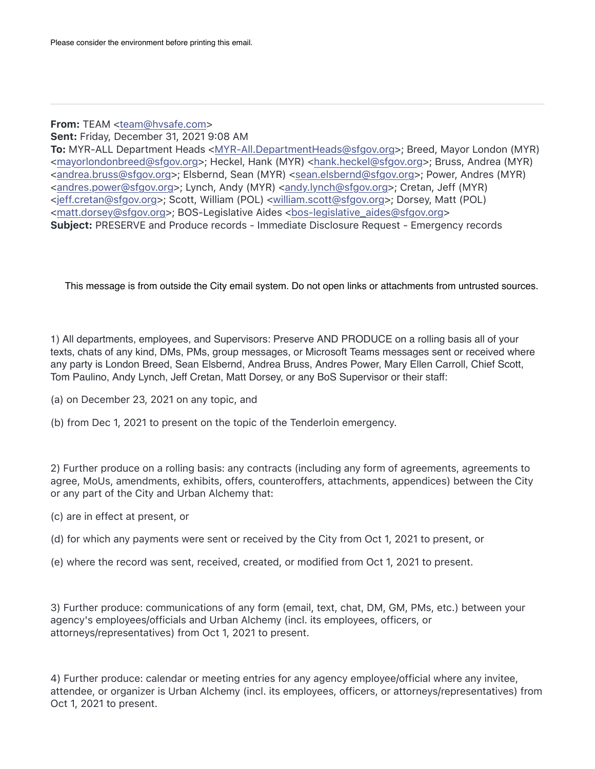## From: TEAM [<team@hvsafe.com](mailto:team@hvsafe.com)>

Sent: Friday, December 31, 2021 9:08 AM

To: MYR-ALL Department Heads <[MYR-All.DepartmentHeads@sfgov.org](mailto:MYR-All.DepartmentHeads@sfgov.org)>; Breed, Mayor London (MYR) [<mayorlondonbreed@sfgov.org>](mailto:mayorlondonbreed@sfgov.org); Heckel, Hank (MYR) [<hank.heckel@sfgov.org](mailto:hank.heckel@sfgov.org)>; Bruss, Andrea (MYR) [<andrea.bruss@sfgov.org>](mailto:andrea.bruss@sfgov.org); Elsbernd, Sean (MYR) [<sean.elsbernd@sfgov.org](mailto:sean.elsbernd@sfgov.org)>; Power, Andres (MYR) [<andres.power@sfgov.org>](mailto:andres.power@sfgov.org); Lynch, Andy (MYR) [<andy.lynch@sfgov.org](mailto:andy.lynch@sfgov.org)>; Cretan, Jeff (MYR) [<jeff.cretan@sfgov.org>](mailto:jeff.cretan@sfgov.org); Scott, William (POL) [<william.scott@sfgov.org>](mailto:william.scott@sfgov.org); Dorsey, Matt (POL) [<matt.dorsey@sfgov.org](mailto:matt.dorsey@sfgov.org)>; BOS-Legislative Aides [<bos-legislative\\_aides@sfgov.org>](mailto:bos-legislative_aides@sfgov.org) Subject: PRESERVE and Produce records - Immediate Disclosure Request - Emergency records

This message is from outside the City email system. Do not open links or attachments from untrusted sources.

1) All departments, employees, and Supervisors: Preserve AND PRODUCE on a rolling basis all of your texts, chats of any kind, DMs, PMs, group messages, or Microsoft Teams messages sent or received where any party is London Breed, Sean Elsbernd, Andrea Bruss, Andres Power, Mary Ellen Carroll, Chief Scott, Tom Paulino, Andy Lynch, Jeff Cretan, Matt Dorsey, or any BoS Supervisor or their staff:

- (a) on December 23, 2021 on any topic, and
- (b) from Dec 1, 2021 to present on the topic of the Tenderloin emergency.

2) Further produce on a rolling basis: any contracts (including any form of agreements, agreements to agree, MoUs, amendments, exhibits, offers, counteroffers, attachments, appendices) between the City or any part of the City and Urban Alchemy that:

- (c) are in effect at present, or
- (d) for which any payments were sent or received by the City from Oct 1, 2021 to present, or
- (e) where the record was sent, received, created, or modified from Oct 1, 2021 to present.

3) Further produce: communications of any form (email, text, chat, DM, GM, PMs, etc.) between your agency's employees/officials and Urban Alchemy (incl. its employees, officers, or attorneys/representatives) from Oct 1, 2021 to present.

4) Further produce: calendar or meeting entries for any agency employee/official where any invitee, attendee, or organizer is Urban Alchemy (incl. its employees, officers, or attorneys/representatives) from Oct 1, 2021 to present.